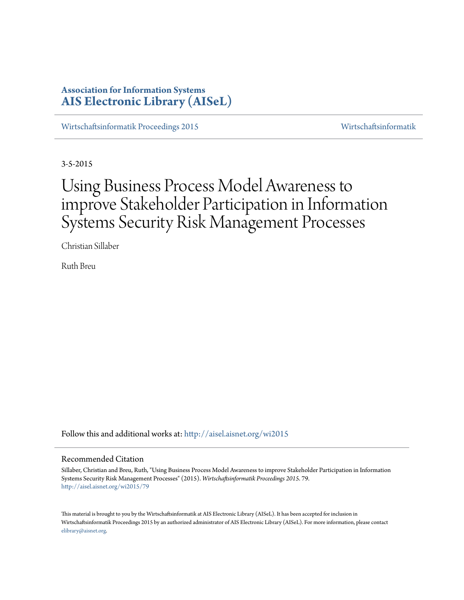## **Association for Information Systems [AIS Electronic Library \(AISeL\)](http://aisel.aisnet.org?utm_source=aisel.aisnet.org%2Fwi2015%2F79&utm_medium=PDF&utm_campaign=PDFCoverPages)**

[Wirtschaftsinformatik Proceedings 2015](http://aisel.aisnet.org/wi2015?utm_source=aisel.aisnet.org%2Fwi2015%2F79&utm_medium=PDF&utm_campaign=PDFCoverPages) [Wirtschaftsinformatik](http://aisel.aisnet.org/wi?utm_source=aisel.aisnet.org%2Fwi2015%2F79&utm_medium=PDF&utm_campaign=PDFCoverPages)

3-5-2015

# Using Business Process Model Awareness to improve Stakeholder Participation in Information Systems Security Risk Management Processes

Christian Sillaber

Ruth Breu

Follow this and additional works at: [http://aisel.aisnet.org/wi2015](http://aisel.aisnet.org/wi2015?utm_source=aisel.aisnet.org%2Fwi2015%2F79&utm_medium=PDF&utm_campaign=PDFCoverPages)

### Recommended Citation

Sillaber, Christian and Breu, Ruth, "Using Business Process Model Awareness to improve Stakeholder Participation in Information Systems Security Risk Management Processes" (2015). *Wirtschaftsinformatik Proceedings 2015*. 79. [http://aisel.aisnet.org/wi2015/79](http://aisel.aisnet.org/wi2015/79?utm_source=aisel.aisnet.org%2Fwi2015%2F79&utm_medium=PDF&utm_campaign=PDFCoverPages)

This material is brought to you by the Wirtschaftsinformatik at AIS Electronic Library (AISeL). It has been accepted for inclusion in Wirtschaftsinformatik Proceedings 2015 by an authorized administrator of AIS Electronic Library (AISeL). For more information, please contact [elibrary@aisnet.org.](mailto:elibrary@aisnet.org%3E)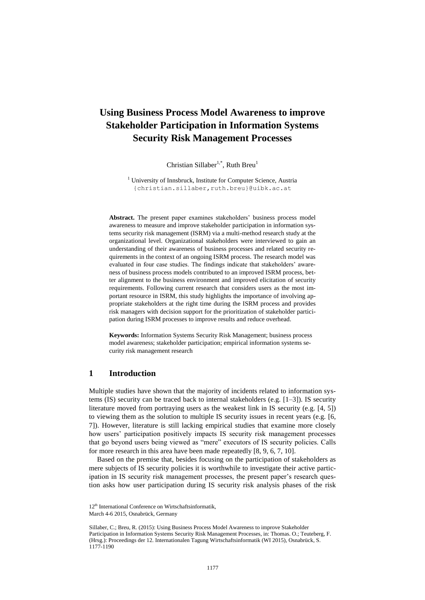# **Using Business Process Model Awareness to improve Stakeholder Participation in Information Systems Security Risk Management Processes**

Christian Sillaber<sup>1,\*</sup>, Ruth Breu<sup>1</sup>

<sup>1</sup> University of Innsbruck, Institute for Computer Science, Austria {christian.sillaber,ruth.breu}@uibk.ac.at

**Abstract.** The present paper examines stakeholders' business process model awareness to measure and improve stakeholder participation in information systems security risk management (ISRM) via a multi-method research study at the organizational level. Organizational stakeholders were interviewed to gain an understanding of their awareness of business processes and related security requirements in the context of an ongoing ISRM process. The research model was evaluated in four case studies. The findings indicate that stakeholders' awareness of business process models contributed to an improved ISRM process, better alignment to the business environment and improved elicitation of security requirements. Following current research that considers users as the most important resource in ISRM, this study highlights the importance of involving appropriate stakeholders at the right time during the ISRM process and provides risk managers with decision support for the prioritization of stakeholder participation during ISRM processes to improve results and reduce overhead.

**Keywords:** Information Systems Security Risk Management; business process model awareness; stakeholder participation; empirical information systems security risk management research

## **1 Introduction**

Multiple studies have shown that the majority of incidents related to information systems (IS) security can be traced back to internal stakeholders (e.g.  $[1-3]$ ). IS security literature moved from portraying users as the weakest link in IS security (e.g. [4, 5]) to viewing them as the solution to multiple IS security issues in recent years (e.g. [6, 7]). However, literature is still lacking empirical studies that examine more closely how users' participation positively impacts IS security risk management processes that go beyond users being viewed as "mere" executors of IS security policies. Calls for more research in this area have been made repeatedly [8, 9, 6, 7, 10].

Based on the premise that, besides focusing on the participation of stakeholders as mere subjects of IS security policies it is worthwhile to investigate their active participation in IS security risk management processes, the present paper's research question asks how user participation during IS security risk analysis phases of the risk

<sup>12&</sup>lt;sup>th</sup> International Conference on Wirtschaftsinformatik,

March 4-6 2015, Osnabrück, Germany

Sillaber, C.; Breu, R. (2015): Using Business Process Model Awareness to improve Stakeholder Participation in Information Systems Security Risk Management Processes, in: Thomas. O.; Teuteberg, F. (Hrsg.): Proceedings der 12. Internationalen Tagung Wirtschaftsinformatik (WI 2015), Osnabrück, S. 1177-1190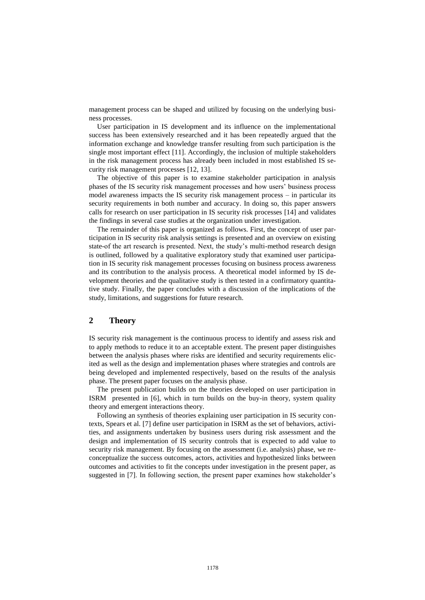management process can be shaped and utilized by focusing on the underlying business processes.

User participation in IS development and its influence on the implementational success has been extensively researched and it has been repeatedly argued that the information exchange and knowledge transfer resulting from such participation is the single most important effect [11]. Accordingly, the inclusion of multiple stakeholders in the risk management process has already been included in most established IS security risk management processes [12, 13].

The objective of this paper is to examine stakeholder participation in analysis phases of the IS security risk management processes and how users' business process model awareness impacts the IS security risk management process – in particular its security requirements in both number and accuracy. In doing so, this paper answers calls for research on user participation in IS security risk processes [14] and validates the findings in several case studies at the organization under investigation.

The remainder of this paper is organized as follows. First, the concept of user participation in IS security risk analysis settings is presented and an overview on existing state-of the art research is presented. Next, the study's multi-method research design is outlined, followed by a qualitative exploratory study that examined user participation in IS security risk management processes focusing on business process awareness and its contribution to the analysis process. A theoretical model informed by IS development theories and the qualitative study is then tested in a confirmatory quantitative study. Finally, the paper concludes with a discussion of the implications of the study, limitations, and suggestions for future research.

## **2 Theory**

IS security risk management is the continuous process to identify and assess risk and to apply methods to reduce it to an acceptable extent. The present paper distinguishes between the analysis phases where risks are identified and security requirements elicited as well as the design and implementation phases where strategies and controls are being developed and implemented respectively, based on the results of the analysis phase. The present paper focuses on the analysis phase.

The present publication builds on the theories developed on user participation in ISRM presented in [6], which in turn builds on the buy-in theory, system quality theory and emergent interactions theory.

Following an synthesis of theories explaining user participation in IS security contexts, Spears et al. [7] define user participation in ISRM as the set of behaviors, activities, and assignments undertaken by business users during risk assessment and the design and implementation of IS security controls that is expected to add value to security risk management. By focusing on the assessment (i.e. analysis) phase, we reconceptualize the success outcomes, actors, activities and hypothesized links between outcomes and activities to fit the concepts under investigation in the present paper, as suggested in [7]. In following section, the present paper examines how stakeholder's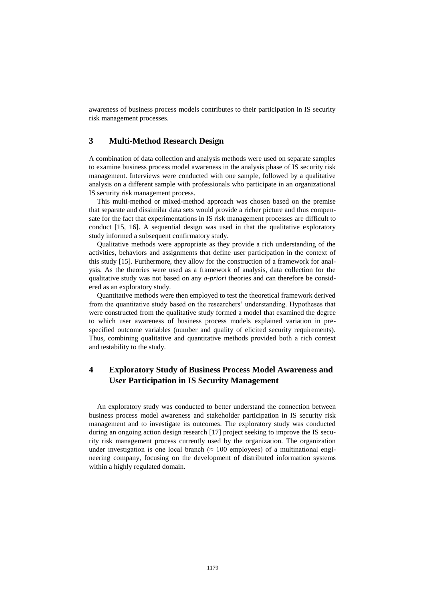awareness of business process models contributes to their participation in IS security risk management processes.

## **3 Multi-Method Research Design**

A combination of data collection and analysis methods were used on separate samples to examine business process model awareness in the analysis phase of IS security risk management. Interviews were conducted with one sample, followed by a qualitative analysis on a different sample with professionals who participate in an organizational IS security risk management process.

This multi-method or mixed-method approach was chosen based on the premise that separate and dissimilar data sets would provide a richer picture and thus compensate for the fact that experimentations in IS risk management processes are difficult to conduct [15, 16]. A sequential design was used in that the qualitative exploratory study informed a subsequent confirmatory study.

Qualitative methods were appropriate as they provide a rich understanding of the activities, behaviors and assignments that define user participation in the context of this study [15]. Furthermore, they allow for the construction of a framework for analysis. As the theories were used as a framework of analysis, data collection for the qualitative study was not based on any *a-priori* theories and can therefore be considered as an exploratory study.

Quantitative methods were then employed to test the theoretical framework derived from the quantitative study based on the researchers' understanding. Hypotheses that were constructed from the qualitative study formed a model that examined the degree to which user awareness of business process models explained variation in prespecified outcome variables (number and quality of elicited security requirements). Thus, combining qualitative and quantitative methods provided both a rich context and testability to the study.

## **4 Exploratory Study of Business Process Model Awareness and User Participation in IS Security Management**

An exploratory study was conducted to better understand the connection between business process model awareness and stakeholder participation in IS security risk management and to investigate its outcomes. The exploratory study was conducted during an ongoing action design research [17] project seeking to improve the IS security risk management process currently used by the organization. The organization under investigation is one local branch ( $\approx 100$  employees) of a multinational engineering company, focusing on the development of distributed information systems within a highly regulated domain.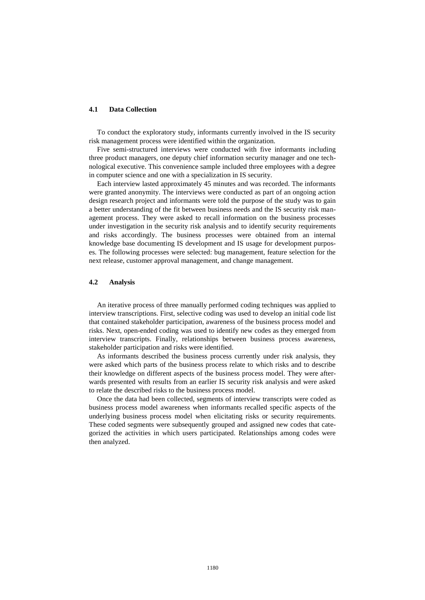#### **4.1 Data Collection**

To conduct the exploratory study, informants currently involved in the IS security risk management process were identified within the organization.

Five semi-structured interviews were conducted with five informants including three product managers, one deputy chief information security manager and one technological executive. This convenience sample included three employees with a degree in computer science and one with a specialization in IS security.

Each interview lasted approximately 45 minutes and was recorded. The informants were granted anonymity. The interviews were conducted as part of an ongoing action design research project and informants were told the purpose of the study was to gain a better understanding of the fit between business needs and the IS security risk management process. They were asked to recall information on the business processes under investigation in the security risk analysis and to identify security requirements and risks accordingly. The business processes were obtained from an internal knowledge base documenting IS development and IS usage for development purposes. The following processes were selected: bug management, feature selection for the next release, customer approval management, and change management.

#### **4.2 Analysis**

An iterative process of three manually performed coding techniques was applied to interview transcriptions. First, selective coding was used to develop an initial code list that contained stakeholder participation, awareness of the business process model and risks. Next, open-ended coding was used to identify new codes as they emerged from interview transcripts. Finally, relationships between business process awareness, stakeholder participation and risks were identified.

As informants described the business process currently under risk analysis, they were asked which parts of the business process relate to which risks and to describe their knowledge on different aspects of the business process model. They were afterwards presented with results from an earlier IS security risk analysis and were asked to relate the described risks to the business process model.

Once the data had been collected, segments of interview transcripts were coded as business process model awareness when informants recalled specific aspects of the underlying business process model when elicitating risks or security requirements. These coded segments were subsequently grouped and assigned new codes that categorized the activities in which users participated. Relationships among codes were then analyzed.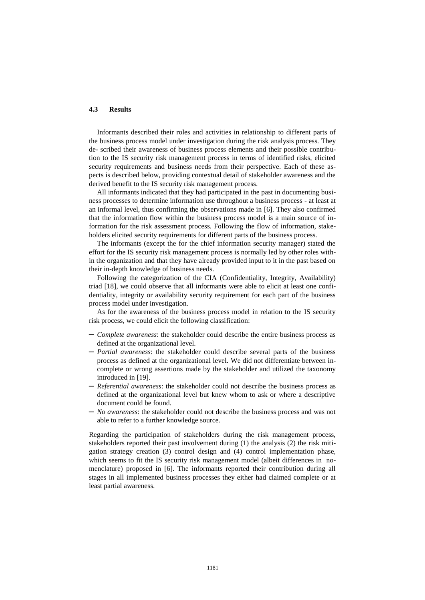#### **4.3 Results**

Informants described their roles and activities in relationship to different parts of the business process model under investigation during the risk analysis process. They de- scribed their awareness of business process elements and their possible contribution to the IS security risk management process in terms of identified risks, elicited security requirements and business needs from their perspective. Each of these aspects is described below, providing contextual detail of stakeholder awareness and the derived benefit to the IS security risk management process.

All informants indicated that they had participated in the past in documenting business processes to determine information use throughout a business process - at least at an informal level, thus confirming the observations made in [6]. They also confirmed that the information flow within the business process model is a main source of information for the risk assessment process. Following the flow of information, stakeholders elicited security requirements for different parts of the business process.

The informants (except the for the chief information security manager) stated the effort for the IS security risk management process is normally led by other roles within the organization and that they have already provided input to it in the past based on their in-depth knowledge of business needs.

Following the categorization of the CIA (Confidentiality, Integrity, Availability) triad [18], we could observe that all informants were able to elicit at least one confidentiality, integrity or availability security requirement for each part of the business process model under investigation.

As for the awareness of the business process model in relation to the IS security risk process, we could elicit the following classification:

- ─ *Complete awareness*: the stakeholder could describe the entire business process as defined at the organizational level.
- ─ *Partial awareness*: the stakeholder could describe several parts of the business process as defined at the organizational level. We did not differentiate between incomplete or wrong assertions made by the stakeholder and utilized the taxonomy introduced in [19].
- ─ *Referential awareness*: the stakeholder could not describe the business process as defined at the organizational level but knew whom to ask or where a descriptive document could be found.
- ─ *No awareness*: the stakeholder could not describe the business process and was not able to refer to a further knowledge source.

Regarding the participation of stakeholders during the risk management process, stakeholders reported their past involvement during (1) the analysis (2) the risk mitigation strategy creation (3) control design and (4) control implementation phase, which seems to fit the IS security risk management model (albeit differences in nomenclature) proposed in [6]. The informants reported their contribution during all stages in all implemented business processes they either had claimed complete or at least partial awareness.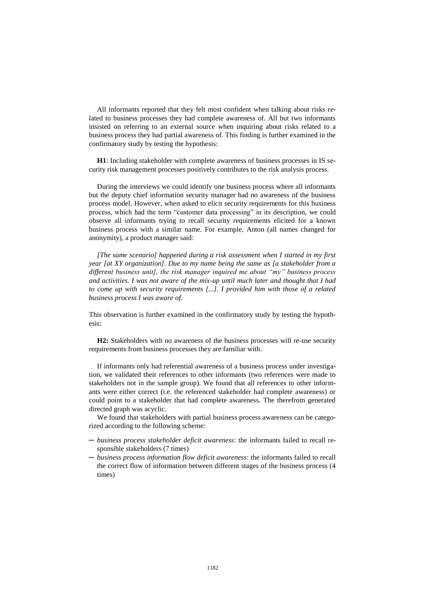All informants reported that they felt most confident when talking about risks related to business processes they had complete awareness of. All but two informants insisted on referring to an external source when inquiring about risks related to a business process they had partial awareness of. This finding is further examined in the confirmatory study by testing the hypothesis:

**H1**: Including stakeholder with complete awareness of business processes in IS security risk management processes positively contributes to the risk analysis process.

During the interviews we could identify one business process where all informants but the deputy chief information security manager had no awareness of the business process model. However, when asked to elicit security requirements for this business process, which had the term "customer data processing" in its description, we could observe all informants trying to recall security requirements elicited for a known business process with a similar name. For example, Anton (all names changed for anonymity), a product manager said:

*[The same scenario] happened during a risk assessment when I started in my first year [at XY organization]. Due to my name being the same as [a stakeholder from a different business unit], the risk manager inquired me about "my" business process and activities. I was not aware of the mix-up until much later and thought that I had to come up with security requirements [...]. I provided him with those of a related business process I was aware of.*

This observation is further examined in the confirmatory study by testing the hypothesis:

**H2:** Stakeholders with no awareness of the business processes will re-use security requirements from business processes they are familiar with.

If informants only had referential awareness of a business process under investigation, we validated their references to other informants (two references were made to stakeholders not in the sample group). We found that all references to other informants were either correct (i.e. the referenced stakeholder had complete awareness) or could point to a stakeholder that had complete awareness. The therefrom generated directed graph was acyclic.

We found that stakeholders with partial business process awareness can be categorized according to the following scheme:

- ─ *business process stakeholder deficit awareness*: the informants failed to recall responsible stakeholders (7 times)
- ─ *business process information flow deficit awareness*: the informants failed to recall the correct flow of information between different stages of the business process (4 times)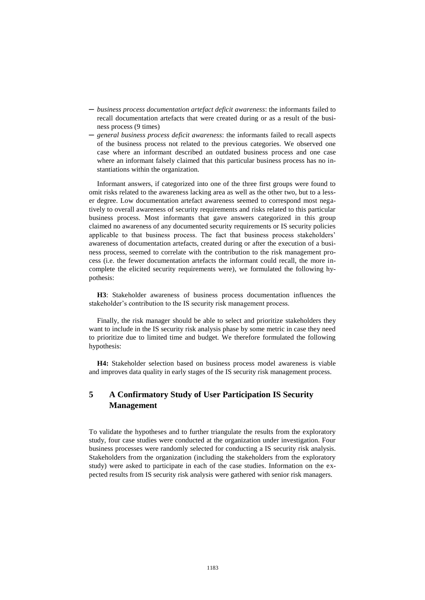- ─ *business process documentation artefact deficit awareness*: the informants failed to recall documentation artefacts that were created during or as a result of the business process (9 times)
- ─ *general business process deficit awareness*: the informants failed to recall aspects of the business process not related to the previous categories. We observed one case where an informant described an outdated business process and one case where an informant falsely claimed that this particular business process has no instantiations within the organization.

Informant answers, if categorized into one of the three first groups were found to omit risks related to the awareness lacking area as well as the other two, but to a lesser degree. Low documentation artefact awareness seemed to correspond most negatively to overall awareness of security requirements and risks related to this particular business process. Most informants that gave answers categorized in this group claimed no awareness of any documented security requirements or IS security policies applicable to that business process. The fact that business process stakeholders' awareness of documentation artefacts, created during or after the execution of a business process, seemed to correlate with the contribution to the risk management process (i.e. the fewer documentation artefacts the informant could recall, the more incomplete the elicited security requirements were), we formulated the following hypothesis:

**H3**: Stakeholder awareness of business process documentation influences the stakeholder's contribution to the IS security risk management process.

Finally, the risk manager should be able to select and prioritize stakeholders they want to include in the IS security risk analysis phase by some metric in case they need to prioritize due to limited time and budget. We therefore formulated the following hypothesis:

**H4:** Stakeholder selection based on business process model awareness is viable and improves data quality in early stages of the IS security risk management process.

## **5 A Confirmatory Study of User Participation IS Security Management**

To validate the hypotheses and to further triangulate the results from the exploratory study, four case studies were conducted at the organization under investigation. Four business processes were randomly selected for conducting a IS security risk analysis. Stakeholders from the organization (including the stakeholders from the exploratory study) were asked to participate in each of the case studies. Information on the expected results from IS security risk analysis were gathered with senior risk managers.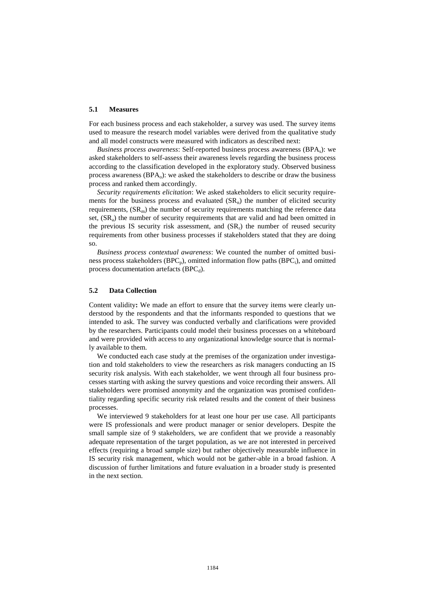#### **5.1 Measures**

For each business process and each stakeholder, a survey was used. The survey items used to measure the research model variables were derived from the qualitative study and all model constructs were measured with indicators as described next:

*Business process awareness*: Self-reported business process awareness (BPA<sub>s</sub>): we asked stakeholders to self-assess their awareness levels regarding the business process according to the classification developed in the exploratory study. Observed business process awareness (BPA<sub>0</sub>): we asked the stakeholders to describe or draw the business process and ranked them accordingly.

*Security requirements elicitation*: We asked stakeholders to elicit security requirements for the business process and evaluated  $(SR_n)$  the number of elicited security requirements,  $(SR_m)$  the number of security requirements matching the reference data set,  $(SR<sub>a</sub>)$  the number of security requirements that are valid and had been omitted in the previous IS security risk assessment, and  $(SR_r)$  the number of reused security requirements from other business processes if stakeholders stated that they are doing so.

*Business process contextual awareness*: We counted the number of omitted business process stakeholders ( $BPC_p$ ), omitted information flow paths ( $BPC_i$ ), and omitted process documentation artefacts (BPC $_d$ ).

#### **5.2 Data Collection**

Content validity**:** We made an effort to ensure that the survey items were clearly understood by the respondents and that the informants responded to questions that we intended to ask. The survey was conducted verbally and clarifications were provided by the researchers. Participants could model their business processes on a whiteboard and were provided with access to any organizational knowledge source that is normally available to them.

We conducted each case study at the premises of the organization under investigation and told stakeholders to view the researchers as risk managers conducting an IS security risk analysis. With each stakeholder, we went through all four business processes starting with asking the survey questions and voice recording their answers. All stakeholders were promised anonymity and the organization was promised confidentiality regarding specific security risk related results and the content of their business processes.

We interviewed 9 stakeholders for at least one hour per use case. All participants were IS professionals and were product manager or senior developers. Despite the small sample size of 9 stakeholders, we are confident that we provide a reasonably adequate representation of the target population, as we are not interested in perceived effects (requiring a broad sample size) but rather objectively measurable influence in IS security risk management, which would not be gather-able in a broad fashion. A discussion of further limitations and future evaluation in a broader study is presented in the next section.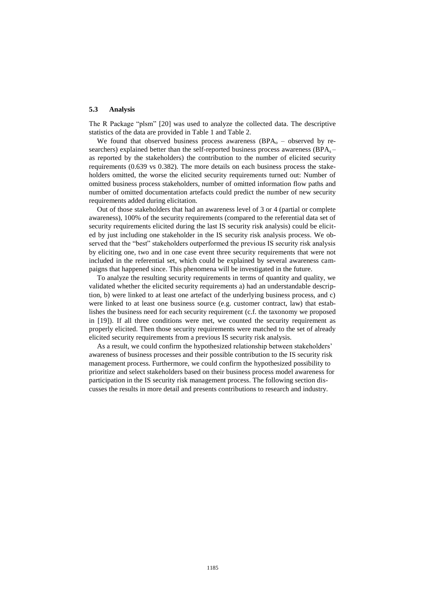#### **5.3 Analysis**

The R Package "plsm" [20] was used to analyze the collected data. The descriptive statistics of the data are provided in Table 1 and Table 2.

We found that observed business process awareness  $(BPA<sub>o</sub> - observed by re$ searchers) explained better than the self-reported business process awareness ( $BPA_s$ as reported by the stakeholders) the contribution to the number of elicited security requirements (0.639 vs 0.382). The more details on each business process the stakeholders omitted, the worse the elicited security requirements turned out: Number of omitted business process stakeholders, number of omitted information flow paths and number of omitted documentation artefacts could predict the number of new security requirements added during elicitation.

Out of those stakeholders that had an awareness level of 3 or 4 (partial or complete awareness), 100% of the security requirements (compared to the referential data set of security requirements elicited during the last IS security risk analysis) could be elicited by just including one stakeholder in the IS security risk analysis process. We observed that the "best" stakeholders outperformed the previous IS security risk analysis by eliciting one, two and in one case event three security requirements that were not included in the referential set, which could be explained by several awareness campaigns that happened since. This phenomena will be investigated in the future.

To analyze the resulting security requirements in terms of quantity and quality, we validated whether the elicited security requirements a) had an understandable description, b) were linked to at least one artefact of the underlying business process, and c) were linked to at least one business source (e.g. customer contract, law) that establishes the business need for each security requirement (c.f. the taxonomy we proposed in [19]). If all three conditions were met, we counted the security requirement as properly elicited. Then those security requirements were matched to the set of already elicited security requirements from a previous IS security risk analysis.

As a result, we could confirm the hypothesized relationship between stakeholders' awareness of business processes and their possible contribution to the IS security risk management process. Furthermore, we could confirm the hypothesized possibility to prioritize and select stakeholders based on their business process model awareness for participation in the IS security risk management process. The following section discusses the results in more detail and presents contributions to research and industry.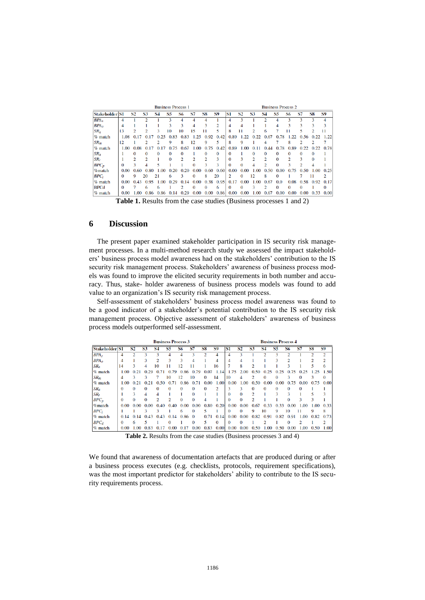|                    |          |      |      |           | <b>Business Process 1</b> |      |          |          | <b>Business Process 2</b> |          |           |                |           |          |      |      |      |      |
|--------------------|----------|------|------|-----------|---------------------------|------|----------|----------|---------------------------|----------|-----------|----------------|-----------|----------|------|------|------|------|
| <b>Stakeholder</b> | IS1      | S2   | S3   | <b>S4</b> | S5                        | 86   | S7       | S8       | S9                        | S1       | <b>S2</b> | S3             | <b>S4</b> | S5       | S6   | S7   | S8   | S9   |
| BPA <sub>s</sub>   | 4        |      | າ    |           | з                         | 4    |          |          |                           | 4        | ٩         |                |           |          | ٩    | ٩    | ٩    | 4    |
| $BPA_0$            | 4        |      |      |           | 3                         | 3    |          |          | 2                         | 4        | 4         |                |           |          |      | ٩    |      | 3    |
| $SR_n$             | 13       |      |      |           | 10                        | 10   | 15       |          | 5                         | 8        |           |                | 6         |          |      |      |      | 11   |
| $%$ match          | 1.08     | 0.17 | 0.   | 0.25      | 0.83                      | 0.83 | .25      | 0.92     | 0.42                      | 0.89     |           |                | 0.67      | 0.       | つつ   | 0.56 | 0.22 | 1.22 |
| SR <sub>m</sub>    | 12       |      |      |           | 9                         | 8    | 12       | 9        | ٢                         | 8        | Q         |                | Δ         |          | 8    |      |      |      |
| $%$ match          | 1.00     | 0.08 | 0.17 | 0.17      | 0.75                      | 0.67 | 1.00     | 0.75     | 0.42                      | 0.89     | 1.00      | 0.11           | 0.44      | 0.78     | 0.89 | 0.22 | 0.22 | 0.78 |
| SR <sub>a</sub>    |          |      |      |           | o                         | 0    |          | o        | 0                         | 0        |           | 0              |           |          | o    |      | o    |      |
| SRr                |          |      | າ    |           | o                         | o    |          |          | ٩                         | O        | З         | $\mathfrak{D}$ |           |          | າ    | ٩    | o    |      |
| $BPC_p$            | $\Omega$ |      |      |           |                           |      | $\Omega$ | 3        | 3                         | $\Omega$ | o         |                |           | $\Omega$ | з    |      | 4    |      |
| %match             | 0.00     | 0.60 | 0.80 | 1.00      | 0.20                      | 0.20 | 0.00     | 0.60     | 0.60                      | 0.00     | 0.00      | 1.00           | 0.50      | 0.00     | 0.75 | 0.50 | 1.00 | 0.25 |
| $BPC_i$            | $\Omega$ | Q    | 20   | 21        | 6                         | 3    | $\Omega$ | 8        | 20                        | 2        | $\Omega$  | 12             | 8         | $\Omega$ |      |      |      | 2    |
| $%$ match          | 0.00     | 0.43 | 0.95 | 1.00      | 0.29                      | 0.14 | 0.00     | 0.38     | 0.95                      | 0.17     | 0.00      | 1.00           | 0.67      | 0.0      | 0.08 | 0.58 | 0.92 | 0.17 |
| <b>BPCd</b>        | $\Omega$ |      | 6    |           |                           |      | $\Omega$ | $\Omega$ | 6                         |          | 0         | 3              |           | 0        | 0    |      |      | 0    |
| $%$ match          | 0.00     | 1.00 | 0.86 | 0.86      | 0.14                      | 0.29 | 0.00     | 0.00     | 0.86                      | 0.00     | 0.00      | 1.00           | 0.67      | 0.00     | 0.00 | 0.00 | 0.33 | 0.00 |

**Table 1.** Results from the case studies (Business processes 1 and 2)

## **6 Discussion**

The present paper examined stakeholder participation in IS security risk management processes. In a multi-method research study we assessed the impact stakeholders' business process model awareness had on the stakeholders' contribution to the IS security risk management process. Stakeholders' awareness of business process models was found to improve the elicited security requirements in both number and accuracy. Thus, stake- holder awareness of business process models was found to add value to an organization's IS security risk management process.

Self-assessment of stakeholders' business process model awareness was found to be a good indicator of a stakeholder's potential contribution to the IS security risk management process. Objective assessment of stakeholders' awareness of business process models outperformed self-assessment.

|                  | <b>Business Process 3</b> |      |           |          |          |                |          |          |                |          | <b>Business Process 4</b> |          |          |          |          |      |           |               |  |
|------------------|---------------------------|------|-----------|----------|----------|----------------|----------|----------|----------------|----------|---------------------------|----------|----------|----------|----------|------|-----------|---------------|--|
| Stakeholder S1   |                           | S2   | <b>S3</b> | S4       | S5       | 86             | S7       | S8       | <b>S9</b>      | S1       | <b>S2</b>                 | S3       | 84       | S5       | 86       | S7   | <b>S8</b> | <b>S9</b>     |  |
| BPA <sub>s</sub> | 4                         |      |           |          |          |                |          |          |                |          |                           |          |          |          |          |      |           | $\mathcal{D}$ |  |
| BPA <sub>o</sub> | 4                         |      | 3         |          | 3        | 3              | 4        |          | 4              | 4        | 4                         |          |          | 3        |          |      |           |               |  |
| SR <sub>n</sub>  | 14                        | ٩    | 4         | 10       | 11       | 12             | 11       |          | 16             |          | 8                         |          |          |          |          |      | 5         | n             |  |
| % match          | 1.00                      | 0.21 | 0.29      | 0.71     | 0.79     | 0.86           | 0.79     | 0.07     | 1.14           | 1.75     | 2.00                      | 0.50     | 0.25     | 0.25     | 0.75     | 0.25 |           | 1.50          |  |
| SR <sub>m</sub>  | 4                         |      |           |          | 10       | 12             | 10       | $\Omega$ | 14             | 10       | 4                         |          | $\Omega$ | 0        | ٩        |      | 3         | $\Omega$      |  |
| % match          | 1.00                      | 0.21 | 0.21      | 0.50     | 0.71     | 0.86           | 0.71     | 0.00     | 1.00           | 0.00     | 1.00                      | 0.50     | 0.00     | 0.00     | 0.75     | 0.00 | 0.75      | 0.00          |  |
| SR <sub>a</sub>  | $\Omega$                  | 0    | 0         | $\Omega$ | $\Omega$ | 0              | $\Omega$ | o        | $\overline{c}$ | З        | 3                         | $\Omega$ | $\Omega$ | $\Omega$ | $\Omega$ |      |           |               |  |
| SR <sub>r</sub>  |                           |      | 4         | 4        |          |                | $\Omega$ |          |                | $\Omega$ | 0                         | 2        |          | ٩        | 3        |      |           |               |  |
| $BPC_n$          | $\Omega$                  | o    | $\Omega$  |          |          | 0              | $\Omega$ | Δ        |                | $\Omega$ | $\Omega$                  | っ        |          |          | $\Omega$ | ٩    | ٩         |               |  |
| %match           | 0.00                      | 0.00 | 0.00      | 0.40     | 40<br>0. | 0.00           | 0.00     | 0.80     | 0.20           | 0.00     | 0.00                      | 0.67     | 0.33     | 0.33     | 0.00     | 1.00 | 1.00      | 0.33          |  |
| $BPC_i$          |                           |      |           |          |          | 6              | $\Omega$ | 5        |                | 0        | $\Omega$                  | 9        | 10       | 9        | 10       |      | 9         | 8             |  |
| % match          | 0.14                      | 0.14 | 0.43      | 0.43     | 0.14     | $0.86 \quad 0$ |          | 0.71     | 0.14           | 0.00     | 0.00                      | 0.82     | 0.91     | 0.82     | 0.91     | 1.00 | 0.82      | 0.73          |  |
| BPC <sub>d</sub> | $\Omega$                  | 6    | 5         |          | 0        |                | $\Omega$ | 5        | $\Omega$       | 0        | $\Omega$                  |          |          |          | $\Omega$ |      |           | 2             |  |
| % match          | 0.00                      | 1.00 | 0.83      | 0.17     | 0.00     | 0.17           | 0.00     | 0.83     | 0.00           | 0.00     | 0.00                      | 0.50     | 1.00     | 0.50     | 0.00     | 1.00 | 0.50      | 1.00          |  |

**Table 2.** Results from the case studies (Business processes 3 and 4)

We found that awareness of documentation artefacts that are produced during or after a business process executes (e.g. checklists, protocols, requirement specifications), was the most important predictor for stakeholders' ability to contribute to the IS security requirements process.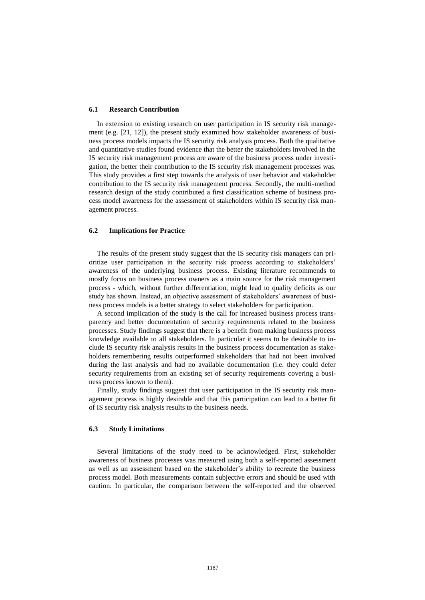#### **6.1 Research Contribution**

In extension to existing research on user participation in IS security risk management (e.g. [21, 12]), the present study examined how stakeholder awareness of business process models impacts the IS security risk analysis process. Both the qualitative and quantitative studies found evidence that the better the stakeholders involved in the IS security risk management process are aware of the business process under investigation, the better their contribution to the IS security risk management processes was. This study provides a first step towards the analysis of user behavior and stakeholder contribution to the IS security risk management process. Secondly, the multi-method research design of the study contributed a first classification scheme of business process model awareness for the assessment of stakeholders within IS security risk management process.

#### **6.2 Implications for Practice**

The results of the present study suggest that the IS security risk managers can prioritize user participation in the security risk process according to stakeholders' awareness of the underlying business process. Existing literature recommends to mostly focus on business process owners as a main source for the risk management process - which, without further differentiation, might lead to quality deficits as our study has shown. Instead, an objective assessment of stakeholders' awareness of business process models is a better strategy to select stakeholders for participation.

A second implication of the study is the call for increased business process transparency and better documentation of security requirements related to the business processes. Study findings suggest that there is a benefit from making business process knowledge available to all stakeholders. In particular it seems to be desirable to include IS security risk analysis results in the business process documentation as stakeholders remembering results outperformed stakeholders that had not been involved during the last analysis and had no available documentation (i.e. they could defer security requirements from an existing set of security requirements covering a business process known to them).

Finally, study findings suggest that user participation in the IS security risk management process is highly desirable and that this participation can lead to a better fit of IS security risk analysis results to the business needs.

## **6.3 Study Limitations**

Several limitations of the study need to be acknowledged. First, stakeholder awareness of business processes was measured using both a self-reported assessment as well as an assessment based on the stakeholder's ability to recreate the business process model. Both measurements contain subjective errors and should be used with caution. In particular, the comparison between the self-reported and the observed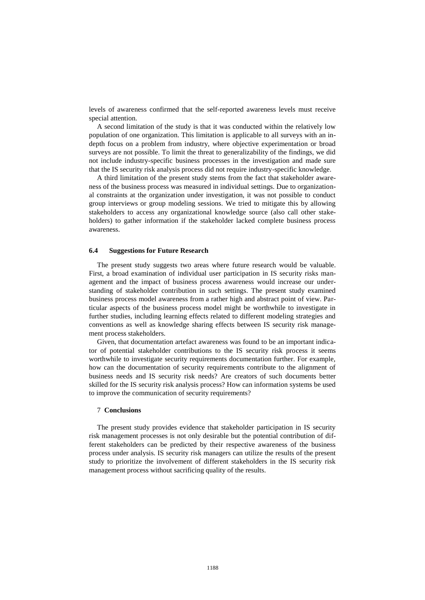levels of awareness confirmed that the self-reported awareness levels must receive special attention.

A second limitation of the study is that it was conducted within the relatively low population of one organization. This limitation is applicable to all surveys with an indepth focus on a problem from industry, where objective experimentation or broad surveys are not possible. To limit the threat to generalizability of the findings, we did not include industry-specific business processes in the investigation and made sure that the IS security risk analysis process did not require industry-specific knowledge.

A third limitation of the present study stems from the fact that stakeholder awareness of the business process was measured in individual settings. Due to organizational constraints at the organization under investigation, it was not possible to conduct group interviews or group modeling sessions. We tried to mitigate this by allowing stakeholders to access any organizational knowledge source (also call other stakeholders) to gather information if the stakeholder lacked complete business process awareness.

#### **6.4 Suggestions for Future Research**

The present study suggests two areas where future research would be valuable. First, a broad examination of individual user participation in IS security risks management and the impact of business process awareness would increase our understanding of stakeholder contribution in such settings. The present study examined business process model awareness from a rather high and abstract point of view. Particular aspects of the business process model might be worthwhile to investigate in further studies, including learning effects related to different modeling strategies and conventions as well as knowledge sharing effects between IS security risk management process stakeholders.

Given, that documentation artefact awareness was found to be an important indicator of potential stakeholder contributions to the IS security risk process it seems worthwhile to investigate security requirements documentation further. For example, how can the documentation of security requirements contribute to the alignment of business needs and IS security risk needs? Are creators of such documents better skilled for the IS security risk analysis process? How can information systems be used to improve the communication of security requirements?

#### 7 **Conclusions**

The present study provides evidence that stakeholder participation in IS security risk management processes is not only desirable but the potential contribution of different stakeholders can be predicted by their respective awareness of the business process under analysis. IS security risk managers can utilize the results of the present study to prioritize the involvement of different stakeholders in the IS security risk management process without sacrificing quality of the results.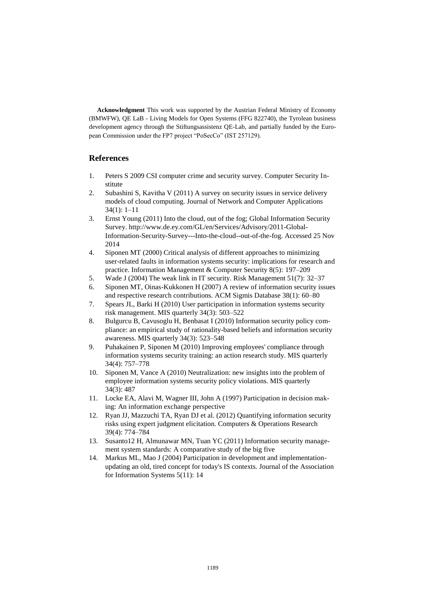**Acknowledgment** This work was supported by the Austrian Federal Ministry of Economy (BMWFW), QE LaB - Living Models for Open Systems (FFG 822740), the Tyrolean business development agency through the Stiftungsassistenz QE-Lab, and partially funded by the European Commission under the FP7 project "PoSecCo" (IST 257129).

## **References**

- 1. Peters S 2009 CSI computer crime and security survey. Computer Security Institute
- 2. Subashini S, Kavitha V (2011) A survey on security issues in service delivery models of cloud computing. Journal of Network and Computer Applications 34(1): 1–11
- 3. Ernst Young (2011) Into the cloud, out of the fog; Global Information Security Survey. http://www.de.ey.com/GL/en/Services/Advisory/2011-Global-Information-Security-Survey---Into-the-cloud--out-of-the-fog. Accessed 25 Nov 2014
- 4. Siponen MT (2000) Critical analysis of different approaches to minimizing user-related faults in information systems security: implications for research and practice. Information Management & Computer Security 8(5): 197–209
- 5. Wade J (2004) The weak link in IT security. Risk Management 51(7): 32–37
- 6. Siponen MT, Oinas-Kukkonen H (2007) A review of information security issues and respective research contributions. ACM Sigmis Database 38(1): 60–80
- 7. Spears JL, Barki H (2010) User participation in information systems security risk management. MIS quarterly 34(3): 503–522
- 8. Bulgurcu B, Cavusoglu H, Benbasat I (2010) Information security policy compliance: an empirical study of rationality-based beliefs and information security awareness. MIS quarterly 34(3): 523–548
- 9. Puhakainen P, Siponen M (2010) Improving employees' compliance through information systems security training: an action research study. MIS quarterly 34(4): 757–778
- 10. Siponen M, Vance A (2010) Neutralization: new insights into the problem of employee information systems security policy violations. MIS quarterly 34(3): 487
- 11. Locke EA, Alavi M, Wagner III, John A (1997) Participation in decision making: An information exchange perspective
- 12. Ryan JJ, Mazzuchi TA, Ryan DJ et al. (2012) Quantifying information security risks using expert judgment elicitation. Computers & Operations Research 39(4): 774–784
- 13. Susanto12 H, Almunawar MN, Tuan YC (2011) Information security management system standards: A comparative study of the big five
- 14. Markus ML, Mao J (2004) Participation in development and implementationupdating an old, tired concept for today's IS contexts. Journal of the Association for Information Systems 5(11): 14